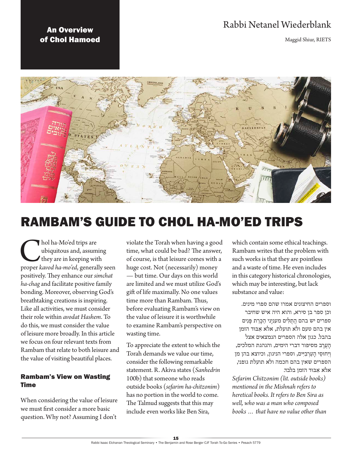# Rabbi Netanel Wiederblank

Maggid Shiur, RIETS

# An Overview of Chol Hamoed



# RAMBAM'S GUIDE TO CHOL HA-MO'ED TRIPS

**C**hol ha-Mo'ed trips are ubiquitous and, assuming they are in keeping with proper *kavod ha-mo'ed*, generally seen ubiquitous and, assuming they are in keeping with positively. They enhance our *simchat ha-chag* and facilitate positive family bonding. Moreover, observing God's breathtaking creations is inspiring. Like all activities, we must consider their role within *avodat Hashem*. To do this, we must consider the value of leisure more broadly. In this article we focus on four relevant texts from Rambam that relate to both leisure and the value of visiting beautiful places.

# Rambam's View on Wasting Time

When considering the value of leisure we must first consider a more basic question. Why not? Assuming I don't

violate the Torah when having a good time, what could be bad? The answer, of course, is that leisure comes with a huge cost. Not (necessarily) money — but time. Our days on this world are limited and we must utilize God's gift of life maximally. No one values time more than Rambam. Thus, before evaluating Rambam's view on the value of leisure it is worthwhile to examine Rambam's perspective on wasting time.

To appreciate the extent to which the Torah demands we value our time, consider the following remarkable statement. R. Akiva states (*Sanhedrin*  100b) that someone who reads outside books (*sefarim ha-chitzonim*) has no portion in the world to come. The Talmud suggests that this may include even works like Ben Sira,

which contain some ethical teachings. Rambam writes that the problem with such works is that they are pointless and a waste of time. He even includes in this category historical chronologies, which may be interesting, but lack substance and value:

וספרים החיצונים אמרו שהם ספרי מינים. וכן ספר בן סירא, והוא היה איש שחיבר ספרים יש בהם הַתְלִ<sup>נ</sup>ים מענ<u>י</u>ני הַכֵּרַת פֵּנִים אין בהם טעם ולא תועלת, אלא אִ ּבּוד הזמן בהבל. כגון אלה הספרים הנמצאים אצל הָ עֲ רָ ב מסיפור דברי הימים, והנהגת המלכים, וְיָחוּסֵי הָעַרְבִיִּים, וספרי הניגון, וכיוצא בהן מן הספרים שאין בהם חכמה ולא תועלת גופני, אלא אִ ּבּוד הזמן בלבד.

*Sefarim Chitzonim (lit. outside books) mentioned in the Mishnah refers to heretical books. It refers to Ben Sira as well, who was a man who composed books … that have no value other than*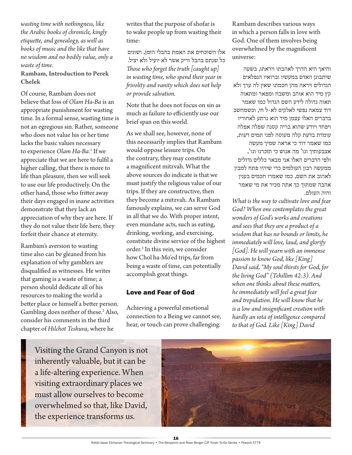*wasting time with nothingness, like the Arabic books of chronicle, kingly etiquette, and genealogy, as well as books of music and the like that have no wisdom and no bodily value, only a waste of time.*

**Rambam, Introduction to Perek Chelek**

Of course, Rambam does not believe that loss of *Olam Ha-Ba* is an appropriate punishment for wasting time. In a formal sense, wasting time is not an egregious sin. Rather, someone who does not value his or her time lacks the basic values necessary to experience *Olam Ha-Ba*. 1 If we appreciate that we are here to fulfil a higher calling, that there is more to life than pleasure, then we will seek to use our life productively. On the other hand, those who fritter away their days engaged in inane activities demonstrate that they lack an appreciation of why they are here. If they do not value their life here, they forfeit their chance at eternity.

Rambam's aversion to wasting time also can be gleaned from his explanation of why gamblers are disqualified as witnesses. He writes that gaming is a waste of time; a person should dedicate all of his resources to making the world a better place or himself a better person. Gambling does neither of these.<sup>2</sup> Also, consider his comments in the third chapter of *Hilchot Teshuva*, where he

writes that the purpose of shofar is to wake people up from wasting their time:

אלו השוכחים את האמת בהבלי הזמן, ושוגים כל שנתם בהבל וריק אשר לא יועיל ולא יציל. *Those who forget the truth [caught up] in wasting time, who spend their year in frivolity and vanity which does not help or provide salvation.*

Note that he does not focus on sin as much as failure to efficiently use our brief span on this world.

As we shall see, however, none of this necessarily implies that Rambam would oppose leisure trips. On the contrary, they may constitute a magnificent mitzvah. What the above sources do indicate is that we must justify the religious value of our trips. If they are constructive, then they become a mitzvah. As Rambam famously explains, we can serve God in all that we do. With proper intent, even mundane acts, such as eating, drinking, working, and exercising, constitute divine service of the highest order.3 In this vein, we consider how Chol ha-Mo'ed trips, far from being a waste of time, can potentially accomplish great things.

#### Love and Fear of God

Achieving a powerful emotional connection to a Being we cannot see, hear, or touch can prove challenging.

Rambam describes various ways in which a person falls in love with God. One of them involves being overwhelmed by the magnificent universe:

והיאך היא הדרך לאהבתו ויראתו, בשעה שיתבונן האדם במעשיו וברואיו הנפלאים הגדולים ויראה מהן חכמתו שאין לה ערך ולא קץ מיד הוא אוהב ומשבח ומפאר ומתאוה תאוה גדולה לידע השם הגדול כמו שאמר דוד צמאה נפשי לאלקים לא-ל חי, וכשמחשב בדברים האלו עצמן מיד הוא נרתע לאחוריו ויפחד ויודע שהוא בריה קטנה שפלה אפלה עומדת בדעת קלה מעוטה לפני תמים דעות, כמו שאמר דוד כי אראה שמיך מעשה אצבעותיך וגו' מה אנוש כי תזכרנו וגו', ולפי הדברים האלו אני מבאר כללים גדולים ממעשה רבון העולמים כדי שיהיו פתח למבין לאהוב את השם, כמו שאמרו חכמים בענין אהבה שמתוך כך אתה מכיר את מי שאמר והיה העולם.

*What is the way to cultivate love and fear God? When one contemplates the great wonders of God's works and creations and sees that they are a product of a wisdom that has no bounds or limits, he immediately will love, laud, and glorify [God]. He will yearn with an immense passion to know God, like [King] David said, "My soul thirsts for God, for the living God" (Tehillim 42:3). And when one thinks about these matters, he immediately will feel a great fear and trepidation. He will know that he is a low and insignificant creation with hardly an iota of intelligence compared to that of God. Like [King] David* 

Visiting the Grand Canyon is not inherently valuable, but it can be a life-altering experience. When visiting extraordinary places we must allow ourselves to become overwhelmed so that, like David, the experience transforms us.

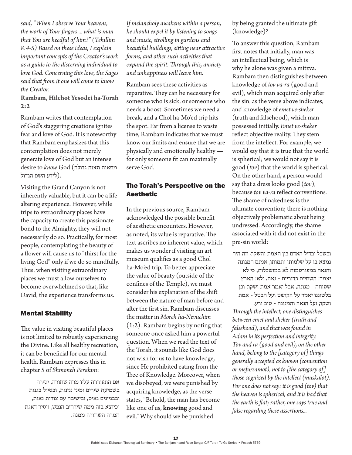*said, "When I observe Your heavens, the work of Your fingers ... what is man that You are heedful of him?" (Tehillim 8:4-5) Based on these ideas, I explain important concepts of the Creator's work as a guide to the discerning individual to love God. Concerning this love, the Sages said that from it one will come to know the Creator.*

**Rambam, Hilchot Yesodei ha-Torah 2:2**

Rambam writes that contemplation of God's staggering creations ignites fear and love of God. It is noteworthy that Rambam emphasizes that this contemplation does not merely generate love of God but an intense desire to *know* God (גדולה תאוה מתאוה .(לידע השם הגדול

Visiting the Grand Canyon is not inherently valuable, but it can be a lifealtering experience. However, while trips to extraordinary places have the capacity to create this passionate bond to the Almighty, they will not necessarily do so. Practically, for most people, contemplating the beauty of a flower will cause us to "thirst for the living God" only if we do so mindfully. Thus, when visiting extraordinary places we must allow ourselves to become overwhelmed so that, like David, the experience transforms us.

#### Mental Stability

The value in visiting beautiful places is not limited to robustly experiencing the Divine. Like all healthy recreation, it can be beneficial for our mental health. Rambam expresses this in chapter 5 of *Shmoneh Perakim*:

אם התעוררה עליו מרה שחורה, יסירה בשמיעת שירים ומיני נגינות, ובטיול בגנות ובבניינים נאים, ובישיבה עם צורות נאות, וכיוצא בזה ממה שירחיב הנפש, ויסיר דאגת המרה השחורה ממנה.

*If melancholy awakens within a person, he should expel it by listening to songs and music, strolling in gardens and beautiful buildings, sitting near attractive forms, and other such activities that expand the spirit. Through this, anxiety and unhappiness will leave him.*

Rambam sees these activities as reparative. They can be necessary for someone who is sick, or someone who needs a boost. Sometimes we need a break, and a Chol ha-Mo'ed trip hits the spot. Far from a license to waste time, Rambam indicates that we must know our limits and ensure that we are physically and emotionally healthy for only someone fit can maximally serve God.

# The Torah's Perspective on the Aesthetic

In the previous source, Rambam acknowledged the possible benefit of aesthetic encounters. However, as noted, its value is reparative. The text ascribes no inherent value, which makes us wonder if visiting an art museum qualifies as a good Chol ha-Mo'ed trip. To better appreciate the value of beauty (outside of the confines of the Temple), we must consider his explanation of the shift between the nature of man before and after the first sin. Rambam discusses the matter in *Moreh ha-Nevuchim*  (1:2). Rambam begins by noting that someone once asked him a powerful question. When we read the text of the Torah, it sounds like God does not wish for us to have knowledge, since He prohibited eating from the Tree of Knowledge. Moreover, when we disobeyed, we were punished by acquiring knowledge, as the verse states, "Behold, the man has become like one of us, **knowing** good and evil." Why should we be punished

by being granted the ultimate gift (knowledge)?

To answer this question, Rambam first notes that initially, man was an intellectual being, which is why he alone was given a mitzva. Rambam then distinguishes between knowledge of *tov va-ra* (good and evil), which man acquired only after the sin, as the verse above indicates, and knowledge of *emet ve-sheker* (truth and falsehood), which man possessed initially. *Emet ve-sheker* reflect objective reality. They stem from the intellect. For example, we would say that it is true that the world is spherical; we would not say it is good (*tov*) that the world is spherical. On the other hand, a person would say that a dress looks good (*tov*), because *tov va-ra* reflect conventions. The shame of nakedness is the ultimate convention; there is nothing objectively problematic about being undressed. Accordingly, the shame associated with it did not exist in the pre-sin world:

ובשכל יבדיל האדם בין האמת והשקר, וזה היה נמצא בו על שלמותו ותמותו, אמנם המגונה והנאה במפורסמות לא במושכלות, כי לא יאמר: השמיים כדוריים - נאה, ולא: הארץ שטוחה - מגונה, אבל יאמר אמת ושקר. וכן בלשוננו יאמר על הקושט ועל הבטל - אמת

ושקר, ועל הנאה והמגונה - טוב ורע. *Through the intellect, one distinguishes between emet and sheker (truth and falsehood), and that was found in Adam in its perfection and integrity. Tov and ra (good and evil), on the other hand, belong to the [category of] things generally accepted as known (convention or mefursamot), not to [the category of] those cognized by the intellect (muskalot). For one does not say: it is good (tov) that the heaven is spherical, and it is bad that the earth is flat; rather, one says true and false regarding these assertions...*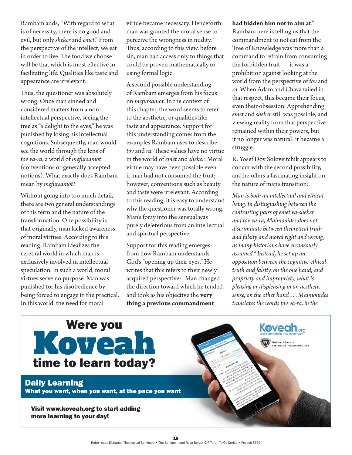Rambam adds, "With regard to what is of necessity, there is no good and evil, but only *sheker* and *emet*." From the perspective of the intellect, we eat in order to live. The food we choose will be that which is most effective in facilitating life. Qualities like taste and appearance are irrelevant.

Thus, the questioner was absolutely wrong. Once man sinned and considered matters from a nonintellectual perspective, seeing the tree as "a delight to the eyes," he was punished by losing his intellectual cognitions. Subsequently, man would see the world through the lens of *tov va-ra*, a world of *mefursamot* (conventions or generally accepted notions). What exactly does Rambam mean by *mefursamot*?

Without going into too much detail, there are two general understandings of this term and the nature of the transformation. One possibility is that originally, man lacked awareness of moral virtues. According to this reading, Rambam idealizes the cerebral world in which man is exclusively involved in intellectual speculation. In such a world, moral virtues serve no purpose. Man was punished for his disobedience by being forced to engage in the practical. In this world, the need for moral

virtue became necessary. Henceforth, man was granted the moral sense to perceive the wrongness in nudity. Thus, according to this view, before sin, man had access only to things that could be proven mathematically or using formal logic.

A second possible understanding of Rambam emerges from his focus on *mefursamot*. In the context of this chapter, the word seems to refer to the aesthetic, or qualities like taste and appearance. Support for this understanding comes from the examples Rambam uses to describe *tov* and *ra*. These values have no virtue in the world of *emet* and *sheker*. Moral virtue may have been possible even if man had not consumed the fruit; however, conventions such as beauty and taste were irrelevant. According to this reading, it is easy to understand why the questioner was totally wrong. Man's foray into the sensual was purely deleterious from an intellectual and spiritual perspective.

Support for this reading emerges from how Rambam understands God's "opening up their eyes." He writes that this refers to their newly acquired perspective: "Man changed the direction toward which he tended and took as his objective the **very thing a previous commandment** 

#### **had bidden him not to aim at**."

Rambam here is telling us that the commandment to not eat from the Tree of Knowledge was more than a command to refrain from consuming the forbidden fruit — it was a prohibition against looking at the world from the perspective of *tov* and *ra*. When Adam and Chava failed in that respect, this became their focus, even their obsession. Apprehending *emet* and *sheker* still was possible, and viewing reality from that perspective remained within their powers, but it no longer was natural; it became a struggle.

R. Yosef Dov Soloveitchik appears to concur with the second possibility, and he offers a fascinating insight on the nature of man's transition:

*Man is both an intellectual and ethical being. In distinguishing between the contrasting pairs of emet va-sheker and tov va-ra, Maimonides does not discriminate between theoretical truth and falsity and moral right and wrong, as many historians have erroneously assumed.4 Instead, he set up an opposition between the cognitive-ethical truth and falsity, on the one hand, and propriety and impropriety, what is pleasing or displeasing in an aesthetic sense, on the other hand…. Maimonides translates the words tov va-ra, in the* 

**Keveah** 

Yeshiva University<br>CENTER FOR THE JEWISH FUTURE



# Daily Learning

What you want, when you want, at the pace you want

Visit www.koveah.org to start adding more learning to your day!